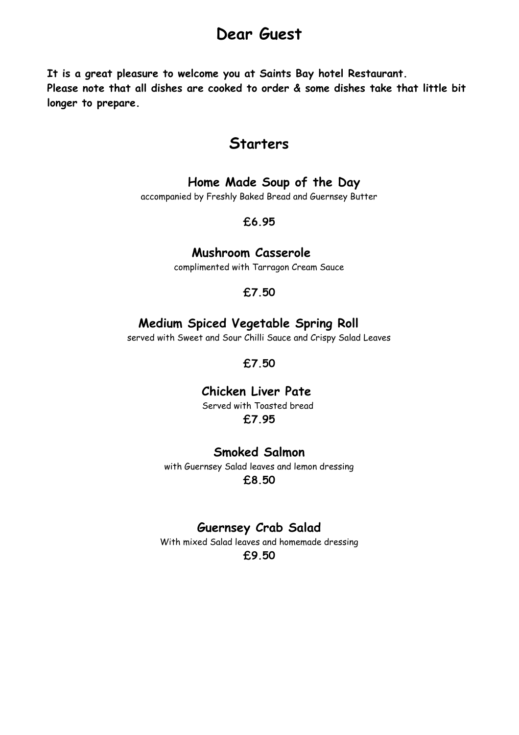# **Dear Guest**

**It is a great pleasure to welcome you at Saints Bay hotel Restaurant. Please note that all dishes are cooked to order & some dishes take that little bit longer to prepare.**

### **Starters**

### **Home Made Soup of the Day**

accompanied by Freshly Baked Bread and Guernsey Butter

#### **£6.95**

#### **Mushroom Casserole**

complimented with Tarragon Cream Sauce

#### **£7.50**

#### **Medium Spiced Vegetable Spring Roll**

served with Sweet and Sour Chilli Sauce and Crispy Salad Leaves

**£7.50**

### **Chicken Liver Pate**

Served with Toasted bread **£7.95**

#### **Smoked Salmon**

with Guernsey Salad leaves and lemon dressing **£8.50**

### **Guernsey Crab Salad**

With mixed Salad leaves and homemade dressing **£9.50**